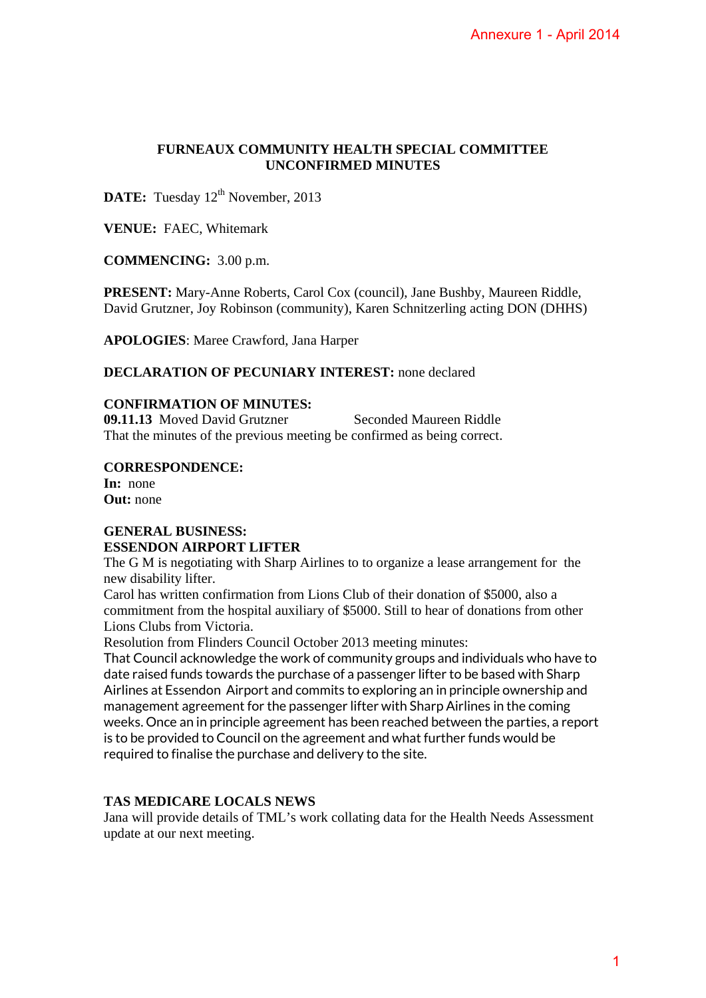## **FURNEAUX COMMUNITY HEALTH SPECIAL COMMITTEE UNCONFIRMED MINUTES**

**DATE:** Tuesday 12<sup>th</sup> November, 2013

**VENUE:** FAEC, Whitemark

**COMMENCING:** 3.00 p.m.

**PRESENT:** Mary-Anne Roberts, Carol Cox (council), Jane Bushby, Maureen Riddle, David Grutzner, Joy Robinson (community), Karen Schnitzerling acting DON (DHHS)

**APOLOGIES**: Maree Crawford, Jana Harper

**DECLARATION OF PECUNIARY INTEREST:** none declared

#### **CONFIRMATION OF MINUTES:**

**09.11.13** Moved David Grutzner Seconded Maureen Riddle That the minutes of the previous meeting be confirmed as being correct.

#### **CORRESPONDENCE:**

**In:** none **Out:** none

# **GENERAL BUSINESS: ESSENDON AIRPORT LIFTER**

The G M is negotiating with Sharp Airlines to to organize a lease arrangement for the new disability lifter.

Carol has written confirmation from Lions Club of their donation of \$5000, also a commitment from the hospital auxiliary of \$5000. Still to hear of donations from other Lions Clubs from Victoria.

Resolution from Flinders Council October 2013 meeting minutes:

That Council acknowledge the work of community groups and individuals who have to date raised funds towards the purchase of a passenger lifter to be based with Sharp Airlines at Essendon Airport and commits to exploring an in principle ownership and management agreement for the passenger lifter with Sharp Airlines in the coming weeks. Once an in principle agreement has been reached between the parties, a report is to be provided to Council on the agreement and what further funds would be required to finalise the purchase and delivery to the site. Annexure 1 - April 2014<br>
OMMITTEE<br>
UNITEE EXECT:<br>
Sy, Maureen Riddle,<br>
acting DON (DHHS)<br>
d<br>
d<br>
d<br>
d<br>
d<br>
d<br>
d<br>
d<br>
d<br>
correct.<br>
arrangement for the<br>
d<br>
onations from other<br>
d<br>
d<br>
contains who have to<br>
e based with Sharp<br>
ne

#### **TAS MEDICARE LOCALS NEWS**

Jana will provide details of TML's work collating data for the Health Needs Assessment update at our next meeting.